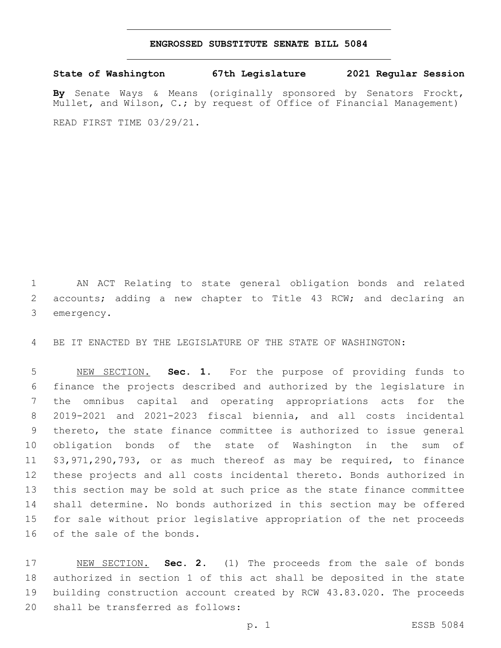## **ENGROSSED SUBSTITUTE SENATE BILL 5084**

**State of Washington 67th Legislature 2021 Regular Session**

**By** Senate Ways & Means (originally sponsored by Senators Frockt, Mullet, and Wilson, C.; by request of Office of Financial Management) READ FIRST TIME 03/29/21.

 AN ACT Relating to state general obligation bonds and related accounts; adding a new chapter to Title 43 RCW; and declaring an 3 emergency.

BE IT ENACTED BY THE LEGISLATURE OF THE STATE OF WASHINGTON:

 NEW SECTION. **Sec. 1.** For the purpose of providing funds to finance the projects described and authorized by the legislature in the omnibus capital and operating appropriations acts for the 2019-2021 and 2021-2023 fiscal biennia, and all costs incidental thereto, the state finance committee is authorized to issue general obligation bonds of the state of Washington in the sum of \$3,971,290,793, or as much thereof as may be required, to finance these projects and all costs incidental thereto. Bonds authorized in this section may be sold at such price as the state finance committee shall determine. No bonds authorized in this section may be offered for sale without prior legislative appropriation of the net proceeds of the sale of the bonds.

 NEW SECTION. **Sec. 2.** (1) The proceeds from the sale of bonds authorized in section 1 of this act shall be deposited in the state building construction account created by RCW 43.83.020. The proceeds shall be transferred as follows: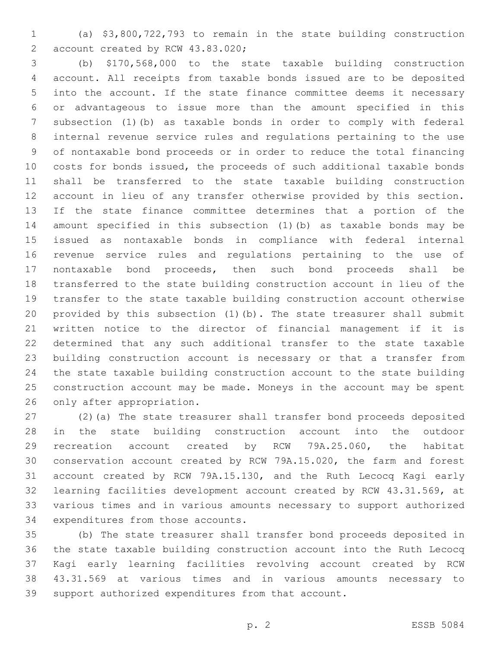(a) \$3,800,722,793 to remain in the state building construction 2 account created by RCW 43.83.020;

 (b) \$170,568,000 to the state taxable building construction account. All receipts from taxable bonds issued are to be deposited into the account. If the state finance committee deems it necessary or advantageous to issue more than the amount specified in this subsection (1)(b) as taxable bonds in order to comply with federal internal revenue service rules and regulations pertaining to the use of nontaxable bond proceeds or in order to reduce the total financing costs for bonds issued, the proceeds of such additional taxable bonds shall be transferred to the state taxable building construction account in lieu of any transfer otherwise provided by this section. If the state finance committee determines that a portion of the amount specified in this subsection (1)(b) as taxable bonds may be issued as nontaxable bonds in compliance with federal internal revenue service rules and regulations pertaining to the use of nontaxable bond proceeds, then such bond proceeds shall be transferred to the state building construction account in lieu of the transfer to the state taxable building construction account otherwise provided by this subsection (1)(b). The state treasurer shall submit written notice to the director of financial management if it is determined that any such additional transfer to the state taxable building construction account is necessary or that a transfer from the state taxable building construction account to the state building construction account may be made. Moneys in the account may be spent 26 only after appropriation.

 (2)(a) The state treasurer shall transfer bond proceeds deposited in the state building construction account into the outdoor recreation account created by RCW 79A.25.060, the habitat conservation account created by RCW 79A.15.020, the farm and forest account created by RCW 79A.15.130, and the Ruth Lecocq Kagi early learning facilities development account created by RCW 43.31.569, at various times and in various amounts necessary to support authorized 34 expenditures from those accounts.

 (b) The state treasurer shall transfer bond proceeds deposited in the state taxable building construction account into the Ruth Lecocq Kagi early learning facilities revolving account created by RCW 43.31.569 at various times and in various amounts necessary to support authorized expenditures from that account.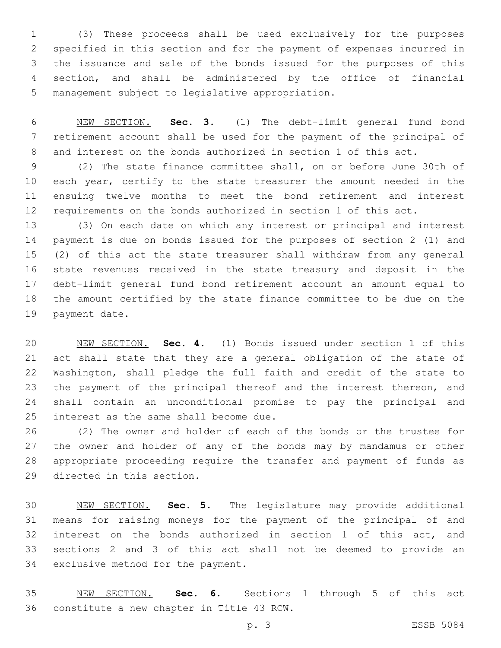(3) These proceeds shall be used exclusively for the purposes specified in this section and for the payment of expenses incurred in the issuance and sale of the bonds issued for the purposes of this section, and shall be administered by the office of financial 5 management subject to legislative appropriation.

 NEW SECTION. **Sec. 3.** (1) The debt-limit general fund bond retirement account shall be used for the payment of the principal of and interest on the bonds authorized in section 1 of this act.

 (2) The state finance committee shall, on or before June 30th of 10 each year, certify to the state treasurer the amount needed in the ensuing twelve months to meet the bond retirement and interest requirements on the bonds authorized in section 1 of this act.

 (3) On each date on which any interest or principal and interest payment is due on bonds issued for the purposes of section 2 (1) and (2) of this act the state treasurer shall withdraw from any general state revenues received in the state treasury and deposit in the debt-limit general fund bond retirement account an amount equal to the amount certified by the state finance committee to be due on the 19 payment date.

 NEW SECTION. **Sec. 4.** (1) Bonds issued under section 1 of this act shall state that they are a general obligation of the state of Washington, shall pledge the full faith and credit of the state to 23 the payment of the principal thereof and the interest thereon, and shall contain an unconditional promise to pay the principal and interest as the same shall become due.

 (2) The owner and holder of each of the bonds or the trustee for the owner and holder of any of the bonds may by mandamus or other appropriate proceeding require the transfer and payment of funds as 29 directed in this section.

 NEW SECTION. **Sec. 5.** The legislature may provide additional means for raising moneys for the payment of the principal of and interest on the bonds authorized in section 1 of this act, and sections 2 and 3 of this act shall not be deemed to provide an exclusive method for the payment.

 NEW SECTION. **Sec. 6.** Sections 1 through 5 of this act constitute a new chapter in Title 43 RCW.